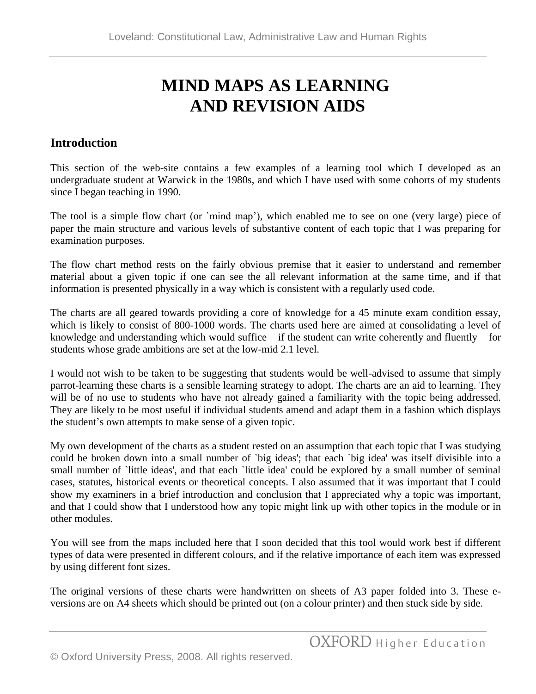## **MIND MAPS AS LEARNING AND REVISION AIDS**

## **Introduction**

This section of the web-site contains a few examples of a learning tool which I developed as an undergraduate student at Warwick in the 1980s, and which I have used with some cohorts of my students since I began teaching in 1990.

The tool is a simple flow chart (or `mind map'), which enabled me to see on one (very large) piece of paper the main structure and various levels of substantive content of each topic that I was preparing for examination purposes.

The flow chart method rests on the fairly obvious premise that it easier to understand and remember material about a given topic if one can see the all relevant information at the same time, and if that information is presented physically in a way which is consistent with a regularly used code.

The charts are all geared towards providing a core of knowledge for a 45 minute exam condition essay, which is likely to consist of 800-1000 words. The charts used here are aimed at consolidating a level of knowledge and understanding which would suffice – if the student can write coherently and fluently – for students whose grade ambitions are set at the low-mid 2.1 level.

I would not wish to be taken to be suggesting that students would be well-advised to assume that simply parrot-learning these charts is a sensible learning strategy to adopt. The charts are an aid to learning. They will be of no use to students who have not already gained a familiarity with the topic being addressed. They are likely to be most useful if individual students amend and adapt them in a fashion which displays the student's own attempts to make sense of a given topic.

My own development of the charts as a student rested on an assumption that each topic that I was studying could be broken down into a small number of `big ideas'; that each `big idea' was itself divisible into a small number of `little ideas', and that each `little idea' could be explored by a small number of seminal cases, statutes, historical events or theoretical concepts. I also assumed that it was important that I could show my examiners in a brief introduction and conclusion that I appreciated why a topic was important, and that I could show that I understood how any topic might link up with other topics in the module or in other modules.

You will see from the maps included here that I soon decided that this tool would work best if different types of data were presented in different colours, and if the relative importance of each item was expressed by using different font sizes.

The original versions of these charts were handwritten on sheets of A3 paper folded into 3. These eversions are on A4 sheets which should be printed out (on a colour printer) and then stuck side by side.